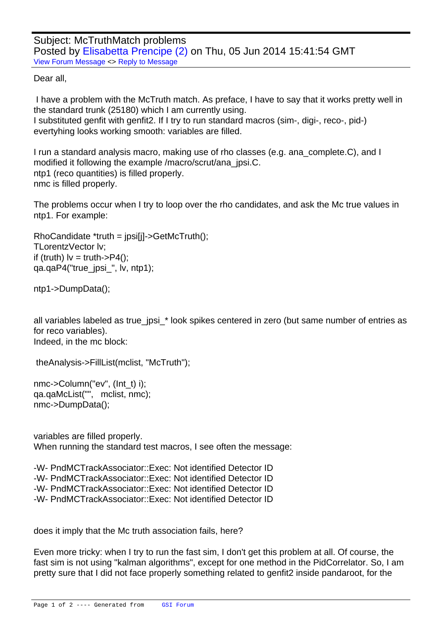Dear all,

 [I have a problem w](https://forum.gsi.de/index.php?t=rview&th=4313&goto=16775#msg_16775)it[h the McTruth m](https://forum.gsi.de/index.php?t=post&reply_to=16775)atch. As preface, I have to say that it works pretty well in the standard trunk (25180) which I am currently using. I substituted genfit with genfit2. If I try to run standard macros (sim-, digi-, reco-, pid-) evertyhing looks working smooth: variables are filled.

I run a standard analysis macro, making use of rho classes (e.g. ana complete.C), and I modified it following the example /macro/scrut/ana\_jpsi.C. ntp1 (reco quantities) is filled properly. nmc is filled properly.

The problems occur when I try to loop over the rho candidates, and ask the Mc true values in ntp1. For example:

 RhoCandidate \*truth = jpsi[j]->GetMcTruth(); TLorentzVector lv; if (truth)  $I_v = \text{truth} > P4()$ ; qa.qaP4("true\_jpsi\_", lv, ntp1);

 ntp1->DumpData();

all variables labeled as true\_jpsi\_\* look spikes centered in zero (but same number of entries as for reco variables). Indeed, in the mc block:

```
	 	theAnalysis->FillList(mclist, "McTruth");
```
 nmc->Column("ev", (Int\_t) i); qa.qaMcList("", mclist, nmc); nmc->DumpData();

variables are filled properly. When running the standard test macros, I see often the message:

-W- PndMCTrackAssociator::Exec: Not identified Detector ID -W- PndMCTrackAssociator::Exec: Not identified Detector ID -W- PndMCTrackAssociator::Exec: Not identified Detector ID -W- PndMCTrackAssociator::Exec: Not identified Detector ID

does it imply that the Mc truth association fails, here?

Even more tricky: when I try to run the fast sim, I don't get this problem at all. Of course, the fast sim is not using "kalman algorithms", except for one method in the PidCorrelator. So, I am pretty sure that I did not face properly something related to genfit2 inside pandaroot, for the